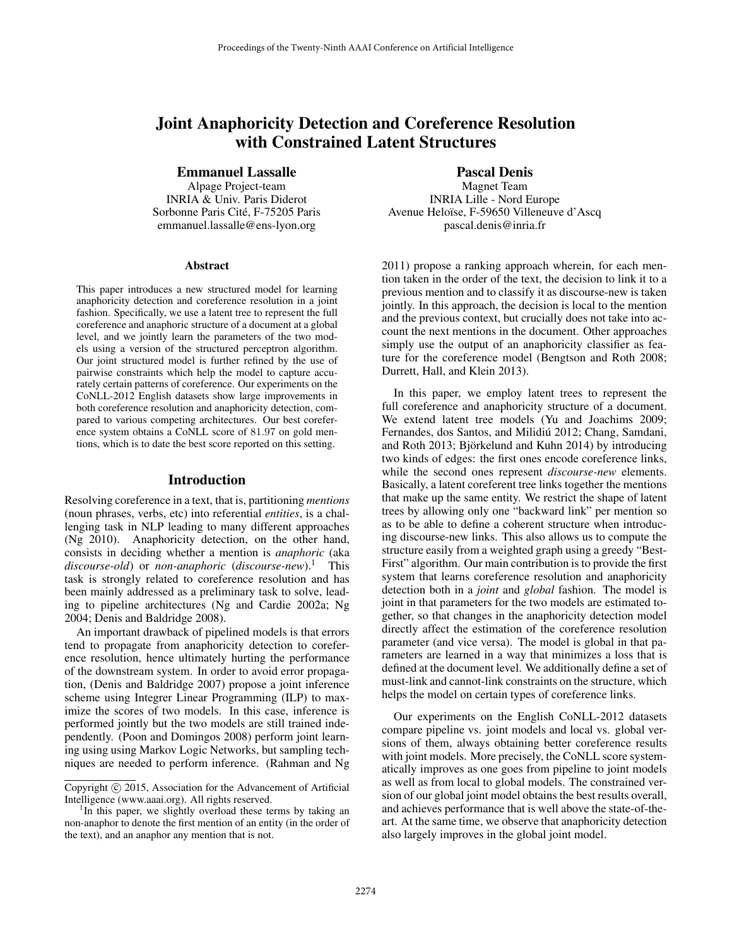# Joint Anaphoricity Detection and Coreference Resolution with Constrained Latent Structures

Emmanuel Lassalle

Alpage Project-team INRIA & Univ. Paris Diderot Sorbonne Paris Cité, F-75205 Paris emmanuel.lassalle@ens-lyon.org

#### Abstract

This paper introduces a new structured model for learning anaphoricity detection and coreference resolution in a joint fashion. Specifically, we use a latent tree to represent the full coreference and anaphoric structure of a document at a global level, and we jointly learn the parameters of the two models using a version of the structured perceptron algorithm. Our joint structured model is further refined by the use of pairwise constraints which help the model to capture accurately certain patterns of coreference. Our experiments on the CoNLL-2012 English datasets show large improvements in both coreference resolution and anaphoricity detection, compared to various competing architectures. Our best coreference system obtains a CoNLL score of 81.97 on gold mentions, which is to date the best score reported on this setting.

# Introduction

Resolving coreference in a text, that is, partitioning *mentions* (noun phrases, verbs, etc) into referential *entities*, is a challenging task in NLP leading to many different approaches (Ng 2010). Anaphoricity detection, on the other hand, consists in deciding whether a mention is *anaphoric* (aka *discourse-old*) or *non-anaphoric* (*discourse-new*).<sup>1</sup> This task is strongly related to coreference resolution and has been mainly addressed as a preliminary task to solve, leading to pipeline architectures (Ng and Cardie 2002a; Ng 2004; Denis and Baldridge 2008).

An important drawback of pipelined models is that errors tend to propagate from anaphoricity detection to coreference resolution, hence ultimately hurting the performance of the downstream system. In order to avoid error propagation, (Denis and Baldridge 2007) propose a joint inference scheme using Integrer Linear Programming (ILP) to maximize the scores of two models. In this case, inference is performed jointly but the two models are still trained independently. (Poon and Domingos 2008) perform joint learning using using Markov Logic Networks, but sampling techniques are needed to perform inference. (Rahman and Ng Pascal Denis

Magnet Team INRIA Lille - Nord Europe Avenue Heloïse, F-59650 Villeneuve d'Ascq pascal.denis@inria.fr

2011) propose a ranking approach wherein, for each mention taken in the order of the text, the decision to link it to a previous mention and to classify it as discourse-new is taken jointly. In this approach, the decision is local to the mention and the previous context, but crucially does not take into account the next mentions in the document. Other approaches simply use the output of an anaphoricity classifier as feature for the coreference model (Bengtson and Roth 2008; Durrett, Hall, and Klein 2013).

In this paper, we employ latent trees to represent the full coreference and anaphoricity structure of a document. We extend latent tree models (Yu and Joachims 2009; Fernandes, dos Santos, and Milidiú 2012; Chang, Samdani, and Roth 2013; Björkelund and Kuhn 2014) by introducing two kinds of edges: the first ones encode coreference links, while the second ones represent *discourse-new* elements. Basically, a latent coreferent tree links together the mentions that make up the same entity. We restrict the shape of latent trees by allowing only one "backward link" per mention so as to be able to define a coherent structure when introducing discourse-new links. This also allows us to compute the structure easily from a weighted graph using a greedy "Best-First" algorithm. Our main contribution is to provide the first system that learns coreference resolution and anaphoricity detection both in a *joint* and *global* fashion. The model is joint in that parameters for the two models are estimated together, so that changes in the anaphoricity detection model directly affect the estimation of the coreference resolution parameter (and vice versa). The model is global in that parameters are learned in a way that minimizes a loss that is defined at the document level. We additionally define a set of must-link and cannot-link constraints on the structure, which helps the model on certain types of coreference links.

Our experiments on the English CoNLL-2012 datasets compare pipeline vs. joint models and local vs. global versions of them, always obtaining better coreference results with joint models. More precisely, the CoNLL score systematically improves as one goes from pipeline to joint models as well as from local to global models. The constrained version of our global joint model obtains the best results overall, and achieves performance that is well above the state-of-theart. At the same time, we observe that anaphoricity detection also largely improves in the global joint model.

Copyright © 2015, Association for the Advancement of Artificial Intelligence (www.aaai.org). All rights reserved.

<sup>&</sup>lt;sup>1</sup>In this paper, we slightly overload these terms by taking an non-anaphor to denote the first mention of an entity (in the order of the text), and an anaphor any mention that is not.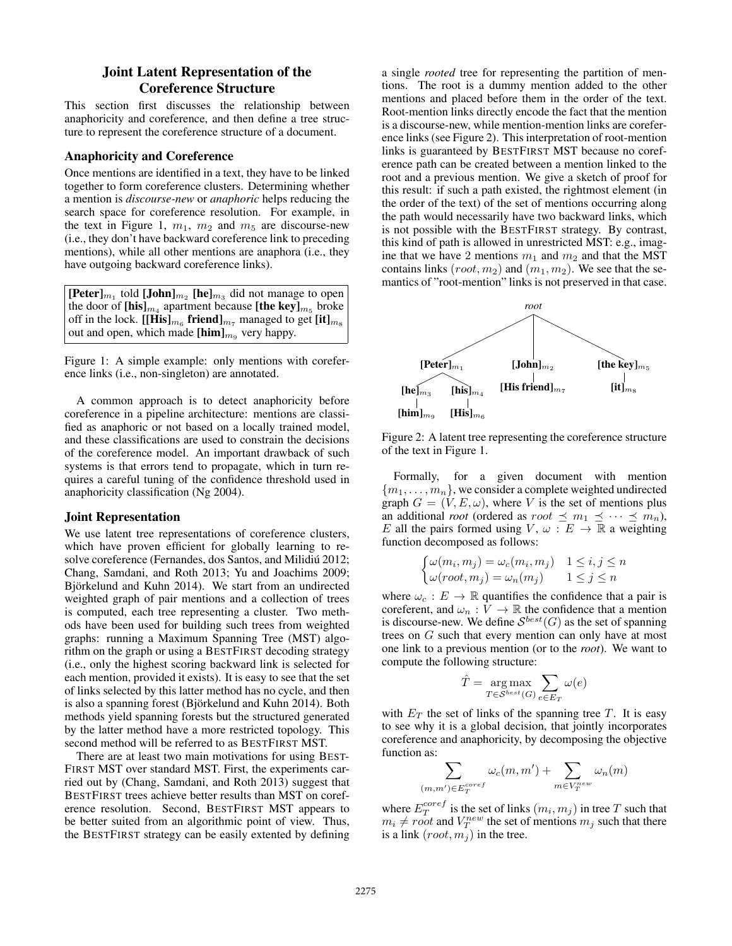# Joint Latent Representation of the Coreference Structure

This section first discusses the relationship between anaphoricity and coreference, and then define a tree structure to represent the coreference structure of a document.

### Anaphoricity and Coreference

Once mentions are identified in a text, they have to be linked together to form coreference clusters. Determining whether a mention is *discourse-new* or *anaphoric* helps reducing the search space for coreference resolution. For example, in the text in Figure 1,  $m_1$ ,  $m_2$  and  $m_5$  are discourse-new (i.e., they don't have backward coreference link to preceding mentions), while all other mentions are anaphora (i.e., they have outgoing backward coreference links).

| $[\text{Peter}]_{m_1}$ told $[\text{John}]_{m_2}$ [he] <sub>m<sub>3</sub></sub> did not manage to open |
|--------------------------------------------------------------------------------------------------------|
| the door of $[\text{his}]_{m_4}$ apartment because $[\text{the key}]_{m_5}$ broke                      |
| off in the lock. $[[His]_{m_6}$ friend] <sub><math>m_7</math></sub> managed to get $[it]_{m_8}$        |
| out and open, which made $[\text{him}]_{m_q}$ very happy.                                              |

Figure 1: A simple example: only mentions with coreference links (i.e., non-singleton) are annotated.

A common approach is to detect anaphoricity before coreference in a pipeline architecture: mentions are classified as anaphoric or not based on a locally trained model, and these classifications are used to constrain the decisions of the coreference model. An important drawback of such systems is that errors tend to propagate, which in turn requires a careful tuning of the confidence threshold used in anaphoricity classification (Ng 2004).

### Joint Representation

We use latent tree representations of coreference clusters, which have proven efficient for globally learning to resolve coreference (Fernandes, dos Santos, and Milidiú 2012; Chang, Samdani, and Roth 2013; Yu and Joachims 2009; Björkelund and Kuhn 2014). We start from an undirected weighted graph of pair mentions and a collection of trees is computed, each tree representing a cluster. Two methods have been used for building such trees from weighted graphs: running a Maximum Spanning Tree (MST) algorithm on the graph or using a BESTFIRST decoding strategy (i.e., only the highest scoring backward link is selected for each mention, provided it exists). It is easy to see that the set of links selected by this latter method has no cycle, and then is also a spanning forest (Björkelund and Kuhn 2014). Both methods yield spanning forests but the structured generated by the latter method have a more restricted topology. This second method will be referred to as BESTFIRST MST.

There are at least two main motivations for using BEST-FIRST MST over standard MST. First, the experiments carried out by (Chang, Samdani, and Roth 2013) suggest that BESTFIRST trees achieve better results than MST on coreference resolution. Second, BESTFIRST MST appears to be better suited from an algorithmic point of view. Thus, the BESTFIRST strategy can be easily extented by defining a single *rooted* tree for representing the partition of mentions. The root is a dummy mention added to the other mentions and placed before them in the order of the text. Root-mention links directly encode the fact that the mention is a discourse-new, while mention-mention links are coreference links (see Figure 2). This interpretation of root-mention links is guaranteed by BESTFIRST MST because no coreference path can be created between a mention linked to the root and a previous mention. We give a sketch of proof for this result: if such a path existed, the rightmost element (in the order of the text) of the set of mentions occurring along the path would necessarily have two backward links, which is not possible with the BESTFIRST strategy. By contrast, this kind of path is allowed in unrestricted MST: e.g., imagine that we have 2 mentions  $m_1$  and  $m_2$  and that the MST contains links  $(root, m_2)$  and  $(m_1, m_2)$ . We see that the semantics of "root-mention" links is not preserved in that case.



Figure 2: A latent tree representing the coreference structure of the text in Figure 1.

Formally, for a given document with mention  ${m_1, \ldots, m_n}$ , we consider a complete weighted undirected graph  $G = (V, E, \omega)$ , where V is the set of mentions plus an additional *root* (ordered as  $root \preceq m_1 \preceq \cdots \preceq m_n$ ), E all the pairs formed using  $V, \omega : E \to \mathbb{R}$  a weighting function decomposed as follows:

$$
\begin{cases} \omega(m_i, m_j) = \omega_c(m_i, m_j) & 1 \le i, j \le n \\ \omega(root, m_j) = \omega_n(m_j) & 1 \le j \le n \end{cases}
$$

where  $\omega_c : E \to \mathbb{R}$  quantifies the confidence that a pair is coreferent, and  $\omega_n : \hat{V} \to \mathbb{R}$  the confidence that a mention is discourse-new. We define  $S^{best}(G)$  as the set of spanning trees on G such that every mention can only have at most one link to a previous mention (or to the *root*). We want to compute the following structure:

$$
\hat{T} = \underset{T \in \mathcal{S}^{best}(G)}{\arg \max} \sum_{e \in E_T} \omega(e)
$$

with  $E_T$  the set of links of the spanning tree T. It is easy to see why it is a global decision, that jointly incorporates coreference and anaphoricity, by decomposing the objective function as:

$$
\sum_{m' \in E_T^{coref}} \omega_c(m, m') + \sum_{m \in V_T^{new}} \omega_n(m)
$$

where  $E_T^{coref}$  is the set of links  $(m_i, m_j)$  in tree  $T$  such that  $m_i \neq root$  and  $V_T^{new}$  the set of mentions  $m_j$  such that there is a link  $(root, m<sub>j</sub>)$  in the tree.

 $(m<sub>o</sub>)$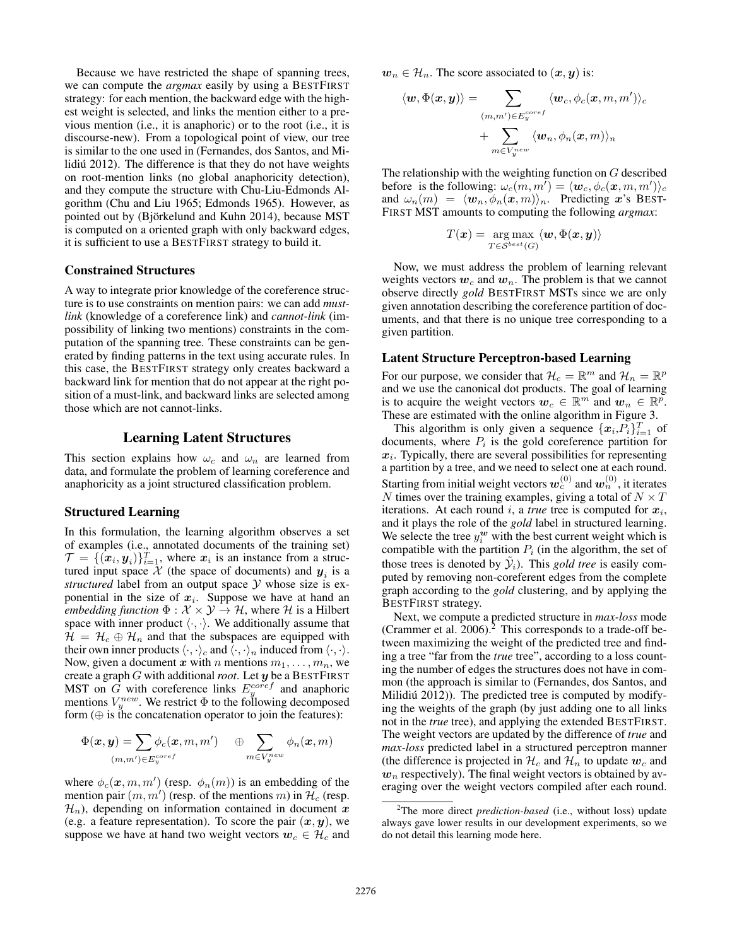Because we have restricted the shape of spanning trees, we can compute the *argmax* easily by using a BESTFIRST strategy: for each mention, the backward edge with the highest weight is selected, and links the mention either to a previous mention (i.e., it is anaphoric) or to the root (i.e., it is discourse-new). From a topological point of view, our tree is similar to the one used in (Fernandes, dos Santos, and Milidiú 2012). The difference is that they do not have weights on root-mention links (no global anaphoricity detection), and they compute the structure with Chu-Liu-Edmonds Algorithm (Chu and Liu 1965; Edmonds 1965). However, as pointed out by (Björkelund and Kuhn 2014), because MST is computed on a oriented graph with only backward edges, it is sufficient to use a BESTFIRST strategy to build it.

#### Constrained Structures

A way to integrate prior knowledge of the coreference structure is to use constraints on mention pairs: we can add *mustlink* (knowledge of a coreference link) and *cannot-link* (impossibility of linking two mentions) constraints in the computation of the spanning tree. These constraints can be generated by finding patterns in the text using accurate rules. In this case, the BESTFIRST strategy only creates backward a backward link for mention that do not appear at the right position of a must-link, and backward links are selected among those which are not cannot-links.

### Learning Latent Structures

This section explains how  $\omega_c$  and  $\omega_n$  are learned from data, and formulate the problem of learning coreference and anaphoricity as a joint structured classification problem.

# Structured Learning

In this formulation, the learning algorithm observes a set of examples (i.e., annotated documents of the training set)  $\mathcal{T} = \{(\boldsymbol{x}_i, \boldsymbol{y}_i)\}_{i=1}^T$ , where  $\boldsymbol{x}_i$  is an instance from a structured input space  $X$  (the space of documents) and  $y_i$  is a *structured* label from an output space Y whose size is exponential in the size of  $x_i$ . Suppose we have at hand an *embedding function*  $\Phi : \mathcal{X} \times \mathcal{Y} \rightarrow \mathcal{H}$ , where  $\mathcal{H}$  is a Hilbert space with inner product  $\langle \cdot, \cdot \rangle$ . We additionally assume that  $\mathcal{H} = \mathcal{H}_c \oplus \mathcal{H}_n$  and that the subspaces are equipped with their own inner products  $\langle \cdot, \cdot \rangle_c$  and  $\langle \cdot, \cdot \rangle_n$  induced from  $\langle \cdot, \cdot \rangle$ . Now, given a document x with n mentions  $m_1, \ldots, m_n$ , we create a graph G with additional*root*. Let y be a BESTFIRST MST on  $\overline{G}$  with coreference links  $E_y^{coref}$  and anaphoric mentions  $V_y^{new}$ . We restrict  $\Phi$  to the following decomposed form  $(\oplus$  is the concatenation operator to join the features):

$$
\Phi(\boldsymbol{x},\boldsymbol{y})=\!\!\!\!\sum_{(m,m')\in E_y^{coref}}\!\!\!\!\! \phi_c(\boldsymbol{x},m,m')\quad \oplus \sum_{m\in V_y^{new}}\phi_n(\boldsymbol{x},m)
$$

where  $\phi_c(\mathbf{x}, m, m')$  (resp.  $\phi_n(m)$ ) is an embedding of the mention pair  $(m, m')$  (resp. of the mentions m) in  $\mathcal{H}_c$  (resp.  $\mathcal{H}_n$ ), depending on information contained in document x (e.g. a feature representation). To score the pair  $(x, y)$ , we suppose we have at hand two weight vectors  $w_c \in \mathcal{H}_c$  and  $w_n \in \mathcal{H}_n$ . The score associated to  $(x, y)$  is:

$$
\langle \boldsymbol{w}, \Phi(\boldsymbol{x}, \boldsymbol{y}) \rangle = \sum_{\substack{(m, m') \in E_y^{coref} \\ + \sum_{m \in V_y^{new}} \langle \boldsymbol{w}_n, \phi_n(\boldsymbol{x}, m) \rangle_n}} \langle \boldsymbol{w}_c, \phi_c(\boldsymbol{x}, m, m') \rangle_c
$$

The relationship with the weighting function on G described before is the following:  $\omega_c(m, m') = \langle \boldsymbol{w}_c, \phi_c(\boldsymbol{x}, m, m') \rangle_c$ and  $\omega_n(m) = \langle w_n, \phi_n(x, m) \rangle_n$ . Predicting x's BEST-FIRST MST amounts to computing the following *argmax*:

$$
T(\bm{x}) = \argmax_{T \in \mathcal{S}^{best}(G)} \langle \bm{w}, \Phi(\bm{x}, \bm{y}) \rangle
$$

Now, we must address the problem of learning relevant weights vectors  $w_c$  and  $w_n$ . The problem is that we cannot observe directly *gold* BESTFIRST MSTs since we are only given annotation describing the coreference partition of documents, and that there is no unique tree corresponding to a given partition.

# Latent Structure Perceptron-based Learning

For our purpose, we consider that  $\mathcal{H}_c = \mathbb{R}^m$  and  $\mathcal{H}_n = \mathbb{R}^p$ and we use the canonical dot products. The goal of learning is to acquire the weight vectors  $w_c \in \mathbb{R}^m$  and  $w_n \in \mathbb{R}^p$ . These are estimated with the online algorithm in Figure 3.

This algorithm is only given a sequence  $\{x_i, P_i\}_{i=1}^T$  of documents, where  $P_i$  is the gold coreference partition for  $x_i$ . Typically, there are several possibilities for representing a partition by a tree, and we need to select one at each round. Starting from initial weight vectors  $\bm{w}^{(0)}_c$  and  $\bm{w}^{(0)}_n$  , it iterates N times over the training examples, giving a total of  $N \times T$ iterations. At each round  $i$ , a *true* tree is computed for  $x_i$ , and it plays the role of the *gold* label in structured learning. We selecte the tree  $y_i^{\boldsymbol{w}}$  with the best current weight which is compatible with the partition  $P_i$  (in the algorithm, the set of those trees is denoted by  $\tilde{y}_i$ ). This *gold tree* is easily computed by removing non-coreferent edges from the complete graph according to the *gold* clustering, and by applying the BESTFIRST strategy.

Next, we compute a predicted structure in *max-loss* mode (Crammer et al.  $2006$ ).<sup>2</sup> This corresponds to a trade-off between maximizing the weight of the predicted tree and finding a tree "far from the *true* tree", according to a loss counting the number of edges the structures does not have in common (the approach is similar to (Fernandes, dos Santos, and Milidiú 2012)). The predicted tree is computed by modifying the weights of the graph (by just adding one to all links not in the *true* tree), and applying the extended BESTFIRST. The weight vectors are updated by the difference of *true* and *max-loss* predicted label in a structured perceptron manner (the difference is projected in  $\mathcal{H}_c$  and  $\mathcal{H}_n$  to update  $\mathbf{w}_c$  and  $w_n$  respectively). The final weight vectors is obtained by averaging over the weight vectors compiled after each round.

<sup>2</sup>The more direct *prediction-based* (i.e., without loss) update always gave lower results in our development experiments, so we do not detail this learning mode here.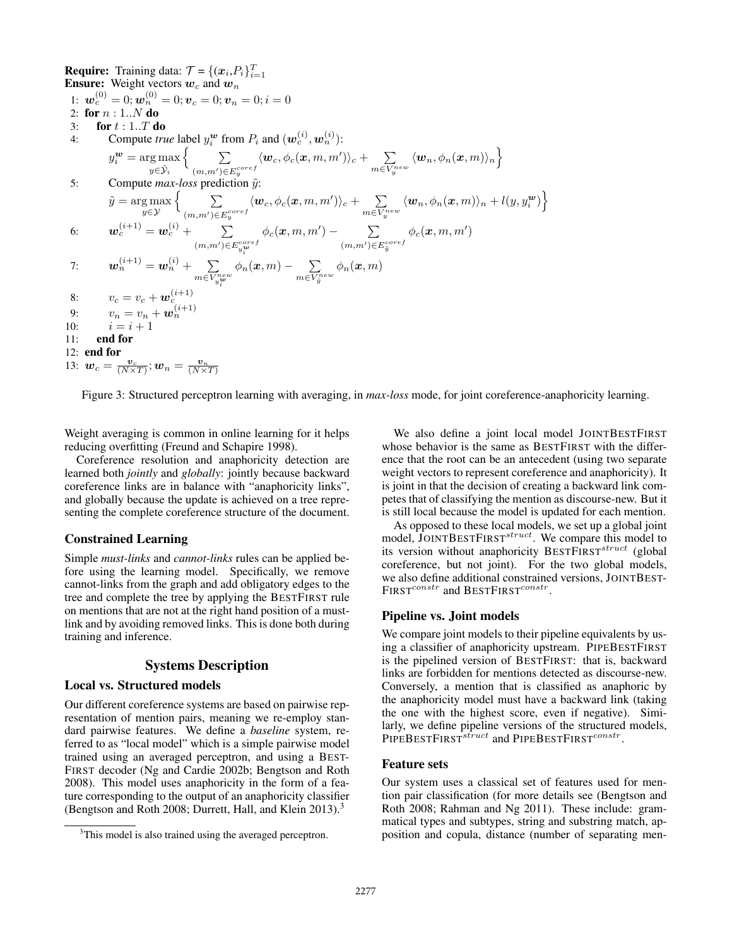**Require:** Training data:  $\mathcal{T} = \{ (x_i, P_i)_{i=1}^T \}$ **Ensure:** Weight vectors  $w_c$  and  $w_n$  $\mathbf{u}_{c}^{(0)}=0; \bm{w}_{n}^{(0)}=0; \bm{v}_{c}=0; \bm{v}_{n}=0; i=0$ 2: for  $n:1..N$  do 3: for  $t : 1..T$  do 4: Compute *true* label  $y_i^{\omega}$  from  $P_i$  and  $(\mathbf{w}_c^{(i)}, \mathbf{w}_n^{(i)})$ : i  $y_i^{\boldsymbol{w}} = \arg \max_i$  $y \in \tilde{\mathcal{Y}}_i$  $\left\{\qquad \right.$   $\sum$  $(m,m') \in E_y^{coref}$  $\langle \boldsymbol{w}_c, \phi_c(\boldsymbol{x},m, m') \rangle_c + \quad \sum$  $m \in V_y^{new}$  $\langle \boldsymbol{w}_n, \phi_n(\boldsymbol{x},m) \rangle_n \Big\}$ 5: Compute  $max-loss$  prediction  $\tilde{y}$ :  $\tilde{y} = \argmax_{y \in \mathcal{Y}}$  $\left\{\qquad \right.$   $\sum$  $(m,m') \in E_y^{coref}$  $\langle \boldsymbol{w}_c, \phi_c(\boldsymbol{x}, m, m') \rangle_c + \quad \sum$  $m \in V_y^{new}$  $\langle \boldsymbol{w}_n, \phi_n(\boldsymbol{x},m) \rangle_n + l(y, y_i^{\boldsymbol{w}}) \Big\}$ 6:  $\boldsymbol{w}^{(i+1)}_{c} = \boldsymbol{w}^{(i)}_{c} + \quad \quad \sum$  $(m,m') \in E^{coref}_{y_i^{\bm{w}}}$  $\phi_c(\boldsymbol{x},m,m')$   $\qquad \sum$  $(m,m')$ ∈ $E_{\tilde{y}}^{coref}$  $\phi_c(\boldsymbol{x},m,m')$ 7:  $\boldsymbol{w}_n^{(i+1)} = \boldsymbol{w}_n^{(i)} + \quad \sum$  $m \in \overline{V}_{y}^{new}_{i}$  $\phi_n({\bm x},m) - -\sum$  $m {\in} \overline{V}^{new}_{\tilde{y}}$  $\phi_n(\boldsymbol{x},m)$ 8:  $v_c = v_c + \boldsymbol{w}_c^{(i+1)}$ 9:  $v_n = v_n + \mathbf{w}_n^{(i+1)}$ <br>10:  $i = i + 1$ 11: end for 12: end for 13:  $\mathbf{w}_c = \frac{\mathbf{v}_c}{(N \times T)}$ ;  $\mathbf{w}_n = \frac{\mathbf{v}_n}{(N \times T)}$ 

Figure 3: Structured perceptron learning with averaging, in *max-loss* mode, for joint coreference-anaphoricity learning.

Weight averaging is common in online learning for it helps reducing overfitting (Freund and Schapire 1998).

Coreference resolution and anaphoricity detection are learned both *jointly* and *globally*: jointly because backward coreference links are in balance with "anaphoricity links", and globally because the update is achieved on a tree representing the complete coreference structure of the document.

# Constrained Learning

Simple *must-links* and *cannot-links* rules can be applied before using the learning model. Specifically, we remove cannot-links from the graph and add obligatory edges to the tree and complete the tree by applying the BESTFIRST rule on mentions that are not at the right hand position of a mustlink and by avoiding removed links. This is done both during training and inference.

# Systems Description

# Local vs. Structured models

Our different coreference systems are based on pairwise representation of mention pairs, meaning we re-employ standard pairwise features. We define a *baseline* system, referred to as "local model" which is a simple pairwise model trained using an averaged perceptron, and using a BEST-FIRST decoder (Ng and Cardie 2002b; Bengtson and Roth 2008). This model uses anaphoricity in the form of a feature corresponding to the output of an anaphoricity classifier (Bengtson and Roth 2008; Durrett, Hall, and Klein 2013).<sup>3</sup>

We also define a joint local model JOINTBESTFIRST whose behavior is the same as BESTFIRST with the difference that the root can be an antecedent (using two separate weight vectors to represent coreference and anaphoricity). It is joint in that the decision of creating a backward link competes that of classifying the mention as discourse-new. But it is still local because the model is updated for each mention.

As opposed to these local models, we set up a global joint model, JOINTBESTFIRST<sup>struct</sup>. We compare this model to its version without anaphoricity BESTFIRST<sup>struct</sup> (global coreference, but not joint). For the two global models, we also define additional constrained versions, JOINTBEST- $\text{FIRST}^{constr}$  and  $\text{BESTFIRST}^{constr}.$ 

# Pipeline vs. Joint models

We compare joint models to their pipeline equivalents by using a classifier of anaphoricity upstream. PIPEBESTFIRST is the pipelined version of BESTFIRST: that is, backward links are forbidden for mentions detected as discourse-new. Conversely, a mention that is classified as anaphoric by the anaphoricity model must have a backward link (taking the one with the highest score, even if negative). Similarly, we define pipeline versions of the structured models, PIPEBESTFIRST<sup>struct</sup> and PIPEBESTFIRST<sup>constr</sup>.

#### Feature sets

Our system uses a classical set of features used for mention pair classification (for more details see (Bengtson and Roth 2008; Rahman and Ng 2011). These include: grammatical types and subtypes, string and substring match, apposition and copula, distance (number of separating men-

<sup>&</sup>lt;sup>3</sup>This model is also trained using the averaged perceptron.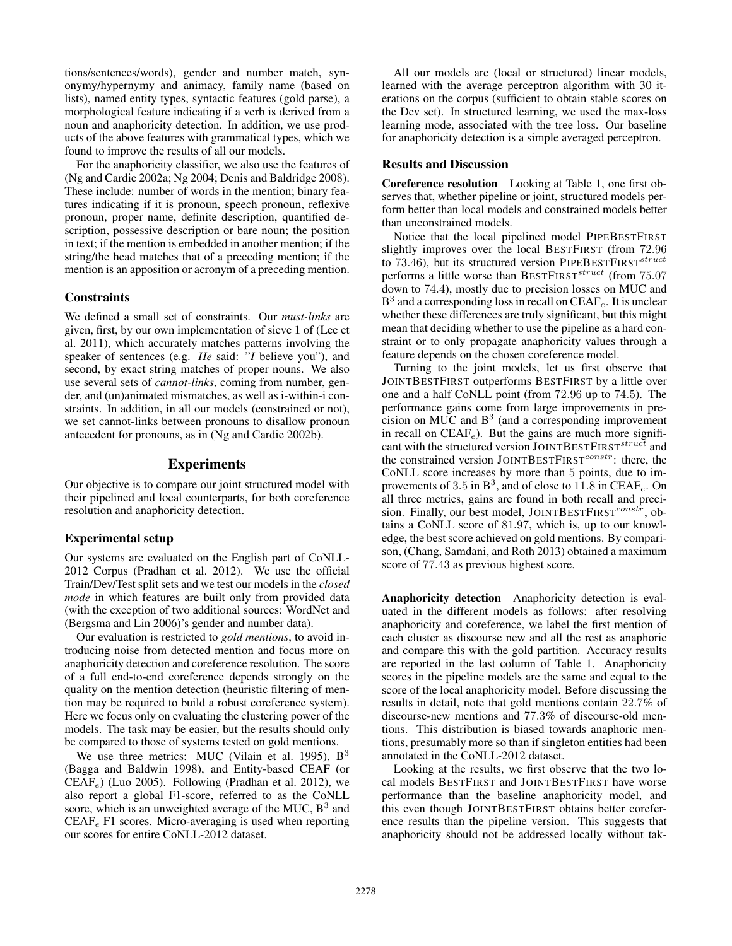tions/sentences/words), gender and number match, synonymy/hypernymy and animacy, family name (based on lists), named entity types, syntactic features (gold parse), a morphological feature indicating if a verb is derived from a noun and anaphoricity detection. In addition, we use products of the above features with grammatical types, which we found to improve the results of all our models.

For the anaphoricity classifier, we also use the features of (Ng and Cardie 2002a; Ng 2004; Denis and Baldridge 2008). These include: number of words in the mention; binary features indicating if it is pronoun, speech pronoun, reflexive pronoun, proper name, definite description, quantified description, possessive description or bare noun; the position in text; if the mention is embedded in another mention; if the string/the head matches that of a preceding mention; if the mention is an apposition or acronym of a preceding mention.

# **Constraints**

We defined a small set of constraints. Our *must-links* are given, first, by our own implementation of sieve 1 of (Lee et al. 2011), which accurately matches patterns involving the speaker of sentences (e.g. *He* said: "*I* believe you"), and second, by exact string matches of proper nouns. We also use several sets of *cannot-links*, coming from number, gender, and (un)animated mismatches, as well as i-within-i constraints. In addition, in all our models (constrained or not), we set cannot-links between pronouns to disallow pronoun antecedent for pronouns, as in (Ng and Cardie 2002b).

## Experiments

Our objective is to compare our joint structured model with their pipelined and local counterparts, for both coreference resolution and anaphoricity detection.

# Experimental setup

Our systems are evaluated on the English part of CoNLL-2012 Corpus (Pradhan et al. 2012). We use the official Train/Dev/Test split sets and we test our models in the *closed mode* in which features are built only from provided data (with the exception of two additional sources: WordNet and (Bergsma and Lin 2006)'s gender and number data).

Our evaluation is restricted to *gold mentions*, to avoid introducing noise from detected mention and focus more on anaphoricity detection and coreference resolution. The score of a full end-to-end coreference depends strongly on the quality on the mention detection (heuristic filtering of mention may be required to build a robust coreference system). Here we focus only on evaluating the clustering power of the models. The task may be easier, but the results should only be compared to those of systems tested on gold mentions.

We use three metrics: MUC (Vilain et al. 1995),  $B<sup>3</sup>$ (Bagga and Baldwin 1998), and Entity-based CEAF (or  $CEAF_e$ ) (Luo 2005). Following (Pradhan et al. 2012), we also report a global F1-score, referred to as the CoNLL score, which is an unweighted average of the MUC,  $B<sup>3</sup>$  and  $CEAF<sub>e</sub>$  F1 scores. Micro-averaging is used when reporting our scores for entire CoNLL-2012 dataset.

All our models are (local or structured) linear models, learned with the average perceptron algorithm with 30 iterations on the corpus (sufficient to obtain stable scores on the Dev set). In structured learning, we used the max-loss learning mode, associated with the tree loss. Our baseline for anaphoricity detection is a simple averaged perceptron.

## Results and Discussion

Coreference resolution Looking at Table 1, one first observes that, whether pipeline or joint, structured models perform better than local models and constrained models better than unconstrained models.

Notice that the local pipelined model PIPEBESTFIRST slightly improves over the local BESTFIRST (from 72.96 to 73.46), but its structured version PIPEBESTFIRST<sup>struct</sup> performs a little worse than BESTFIRST<sup>struct</sup> (from 75.07 down to 74.4), mostly due to precision losses on MUC and  $B<sup>3</sup>$  and a corresponding loss in recall on CEAF<sub>e</sub>. It is unclear whether these differences are truly significant, but this might mean that deciding whether to use the pipeline as a hard constraint or to only propagate anaphoricity values through a feature depends on the chosen coreference model.

Turning to the joint models, let us first observe that JOINTBESTFIRST outperforms BESTFIRST by a little over one and a half CoNLL point (from 72.96 up to 74.5). The performance gains come from large improvements in pre $cision$  on MUC and  $B<sup>3</sup>$  (and a corresponding improvement in recall on  $CEAF_e$ ). But the gains are much more significant with the structured version JOINTBESTFIRST<sup>struct</sup> and the constrained version JOINTBESTFIRST $^{constr}$ : there, the CoNLL score increases by more than 5 points, due to improvements of 3.5 in  $B^3$ , and of close to 11.8 in CEAF<sub>e</sub>. On all three metrics, gains are found in both recall and precision. Finally, our best model, JOINTBESTFIRST<sup>constr</sup>, obtains a CoNLL score of 81.97, which is, up to our knowledge, the best score achieved on gold mentions. By comparison, (Chang, Samdani, and Roth 2013) obtained a maximum score of 77.43 as previous highest score.

Anaphoricity detection Anaphoricity detection is evaluated in the different models as follows: after resolving anaphoricity and coreference, we label the first mention of each cluster as discourse new and all the rest as anaphoric and compare this with the gold partition. Accuracy results are reported in the last column of Table 1. Anaphoricity scores in the pipeline models are the same and equal to the score of the local anaphoricity model. Before discussing the results in detail, note that gold mentions contain 22.7% of discourse-new mentions and 77.3% of discourse-old mentions. This distribution is biased towards anaphoric mentions, presumably more so than if singleton entities had been annotated in the CoNLL-2012 dataset.

Looking at the results, we first observe that the two local models BESTFIRST and JOINTBESTFIRST have worse performance than the baseline anaphoricity model, and this even though JOINTBESTFIRST obtains better coreference results than the pipeline version. This suggests that anaphoricity should not be addressed locally without tak-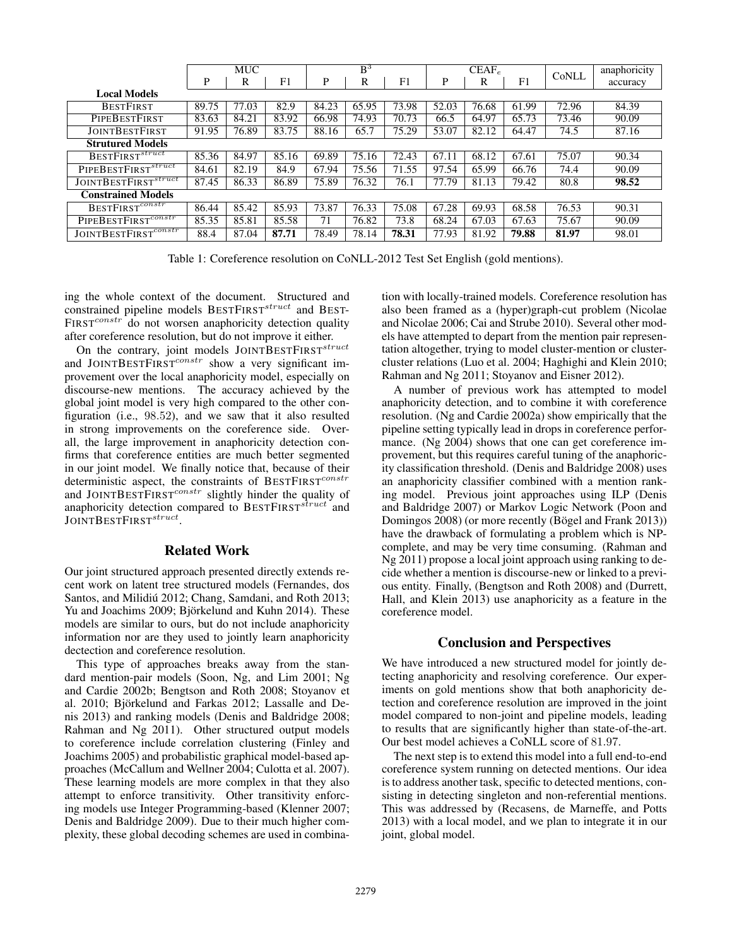|                                  | <b>MUC</b> |       |       | $B^3$ |       |       | $CEAF_e$ |       |       | CoNLL | anaphoricity |
|----------------------------------|------------|-------|-------|-------|-------|-------|----------|-------|-------|-------|--------------|
|                                  | P          | R     | F1    | P     | R     | F1    | P        | R     | F1    |       | accuracy     |
| <b>Local Models</b>              |            |       |       |       |       |       |          |       |       |       |              |
| <b>BESTFIRST</b>                 | 89.75      | 77.03 | 82.9  | 84.23 | 65.95 | 73.98 | 52.03    | 76.68 | 61.99 | 72.96 | 84.39        |
| <b>PIPEBESTFIRST</b>             | 83.63      | 84.21 | 83.92 | 66.98 | 74.93 | 70.73 | 66.5     | 64.97 | 65.73 | 73.46 | 90.09        |
| <b>JOINTBESTFIRST</b>            | 91.95      | 76.89 | 83.75 | 88.16 | 65.7  | 75.29 | 53.07    | 82.12 | 64.47 | 74.5  | 87.16        |
| <b>Strutured Models</b>          |            |       |       |       |       |       |          |       |       |       |              |
| $B$ ESTFIRST <sup>struct</sup>   | 85.36      | 84.97 | 85.16 | 69.89 | 75.16 | 72.43 | 67.11    | 68.12 | 67.61 | 75.07 | 90.34        |
| PIPEBESTFIRST <sup>struct</sup>  | 84.61      | 82.19 | 84.9  | 67.94 | 75.56 | 71.55 | 97.54    | 65.99 | 66.76 | 74.4  | 90.09        |
| JOINTBESTFIRST <sup>struct</sup> | 87.45      | 86.33 | 86.89 | 75.89 | 76.32 | 76.1  | 77.79    | 81.13 | 79.42 | 80.8  | 98.52        |
| <b>Constrained Models</b>        |            |       |       |       |       |       |          |       |       |       |              |
| BESTFIRST <sup>constr</sup>      | 86.44      | 85.42 | 85.93 | 73.87 | 76.33 | 75.08 | 67.28    | 69.93 | 68.58 | 76.53 | 90.31        |
| PIPEBESTFIRST <sup>constr</sup>  | 85.35      | 85.81 | 85.58 | 71    | 76.82 | 73.8  | 68.24    | 67.03 | 67.63 | 75.67 | 90.09        |
| JOINTBESTFIRST <sup>constr</sup> | 88.4       | 87.04 | 87.71 | 78.49 | 78.14 | 78.31 | 77.93    | 81.92 | 79.88 | 81.97 | 98.01        |

Table 1: Coreference resolution on CoNLL-2012 Test Set English (gold mentions).

ing the whole context of the document. Structured and constrained pipeline models BESTFIRST<sup>struct</sup> and BEST- $FIRST^{constr}$  do not worsen anaphoricity detection quality after coreference resolution, but do not improve it either.

On the contrary, joint models  $J$ OINTBESTFIRST $^{struct}$ and JOINTBESTFIRST $^{constr}$  show a very significant improvement over the local anaphoricity model, especially on discourse-new mentions. The accuracy achieved by the global joint model is very high compared to the other configuration (i.e., 98.52), and we saw that it also resulted in strong improvements on the coreference side. Overall, the large improvement in anaphoricity detection confirms that coreference entities are much better segmented in our joint model. We finally notice that, because of their deterministic aspect, the constraints of BESTFIRST<sup>constr</sup> and JOINTBESTFIRST<sup>constr</sup> slightly hinder the quality of anaphoricity detection compared to BESTFIRST<sup>struct</sup> and JOINTBESTFIRST<sup>struct</sup>.

### Related Work

Our joint structured approach presented directly extends recent work on latent tree structured models (Fernandes, dos Santos, and Milidiú 2012; Chang, Samdani, and Roth 2013; Yu and Joachims 2009; Björkelund and Kuhn 2014). These models are similar to ours, but do not include anaphoricity information nor are they used to jointly learn anaphoricity dectection and coreference resolution.

This type of approaches breaks away from the standard mention-pair models (Soon, Ng, and Lim 2001; Ng and Cardie 2002b; Bengtson and Roth 2008; Stoyanov et al. 2010; Björkelund and Farkas 2012; Lassalle and Denis 2013) and ranking models (Denis and Baldridge 2008; Rahman and Ng 2011). Other structured output models to coreference include correlation clustering (Finley and Joachims 2005) and probabilistic graphical model-based approaches (McCallum and Wellner 2004; Culotta et al. 2007). These learning models are more complex in that they also attempt to enforce transitivity. Other transitivity enforcing models use Integer Programming-based (Klenner 2007; Denis and Baldridge 2009). Due to their much higher complexity, these global decoding schemes are used in combination with locally-trained models. Coreference resolution has also been framed as a (hyper)graph-cut problem (Nicolae and Nicolae 2006; Cai and Strube 2010). Several other models have attempted to depart from the mention pair representation altogether, trying to model cluster-mention or clustercluster relations (Luo et al. 2004; Haghighi and Klein 2010; Rahman and Ng 2011; Stoyanov and Eisner 2012).

A number of previous work has attempted to model anaphoricity detection, and to combine it with coreference resolution. (Ng and Cardie 2002a) show empirically that the pipeline setting typically lead in drops in coreference performance. (Ng 2004) shows that one can get coreference improvement, but this requires careful tuning of the anaphoricity classification threshold. (Denis and Baldridge 2008) uses an anaphoricity classifier combined with a mention ranking model. Previous joint approaches using ILP (Denis and Baldridge 2007) or Markov Logic Network (Poon and Domingos 2008) (or more recently (Bögel and Frank 2013)) have the drawback of formulating a problem which is NPcomplete, and may be very time consuming. (Rahman and Ng 2011) propose a local joint approach using ranking to decide whether a mention is discourse-new or linked to a previous entity. Finally, (Bengtson and Roth 2008) and (Durrett, Hall, and Klein 2013) use anaphoricity as a feature in the coreference model.

## Conclusion and Perspectives

We have introduced a new structured model for jointly detecting anaphoricity and resolving coreference. Our experiments on gold mentions show that both anaphoricity detection and coreference resolution are improved in the joint model compared to non-joint and pipeline models, leading to results that are significantly higher than state-of-the-art. Our best model achieves a CoNLL score of 81.97.

The next step is to extend this model into a full end-to-end coreference system running on detected mentions. Our idea is to address another task, specific to detected mentions, consisting in detecting singleton and non-referential mentions. This was addressed by (Recasens, de Marneffe, and Potts 2013) with a local model, and we plan to integrate it in our joint, global model.